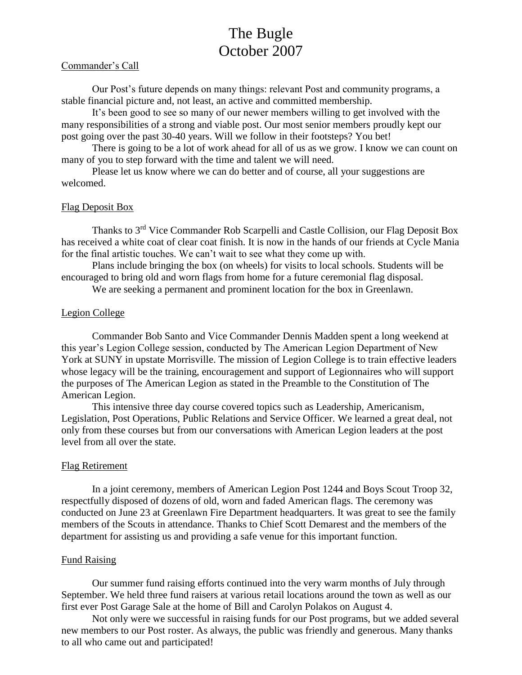# The Bugle October 2007

#### Commander's Call

Our Post's future depends on many things: relevant Post and community programs, a stable financial picture and, not least, an active and committed membership.

It's been good to see so many of our newer members willing to get involved with the many responsibilities of a strong and viable post. Our most senior members proudly kept our post going over the past 30-40 years. Will we follow in their footsteps? You bet!

There is going to be a lot of work ahead for all of us as we grow. I know we can count on many of you to step forward with the time and talent we will need.

Please let us know where we can do better and of course, all your suggestions are welcomed.

#### Flag Deposit Box

Thanks to 3<sup>rd</sup> Vice Commander Rob Scarpelli and Castle Collision, our Flag Deposit Box has received a white coat of clear coat finish. It is now in the hands of our friends at Cycle Mania for the final artistic touches. We can't wait to see what they come up with.

Plans include bringing the box (on wheels) for visits to local schools. Students will be encouraged to bring old and worn flags from home for a future ceremonial flag disposal.

We are seeking a permanent and prominent location for the box in Greenlawn.

# Legion College

Commander Bob Santo and Vice Commander Dennis Madden spent a long weekend at this year's Legion College session, conducted by The American Legion Department of New York at SUNY in upstate Morrisville. The mission of Legion College is to train effective leaders whose legacy will be the training, encouragement and support of Legionnaires who will support the purposes of The American Legion as stated in the Preamble to the Constitution of The American Legion.

This intensive three day course covered topics such as Leadership, Americanism, Legislation, Post Operations, Public Relations and Service Officer. We learned a great deal, not only from these courses but from our conversations with American Legion leaders at the post level from all over the state.

#### Flag Retirement

In a joint ceremony, members of American Legion Post 1244 and Boys Scout Troop 32, respectfully disposed of dozens of old, worn and faded American flags. The ceremony was conducted on June 23 at Greenlawn Fire Department headquarters. It was great to see the family members of the Scouts in attendance. Thanks to Chief Scott Demarest and the members of the department for assisting us and providing a safe venue for this important function.

#### Fund Raising

Our summer fund raising efforts continued into the very warm months of July through September. We held three fund raisers at various retail locations around the town as well as our first ever Post Garage Sale at the home of Bill and Carolyn Polakos on August 4.

Not only were we successful in raising funds for our Post programs, but we added several new members to our Post roster. As always, the public was friendly and generous. Many thanks to all who came out and participated!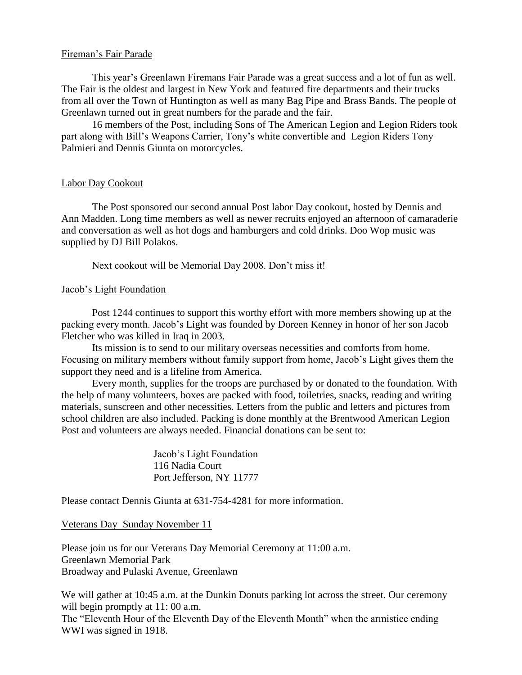# Fireman's Fair Parade

This year's Greenlawn Firemans Fair Parade was a great success and a lot of fun as well. The Fair is the oldest and largest in New York and featured fire departments and their trucks from all over the Town of Huntington as well as many Bag Pipe and Brass Bands. The people of Greenlawn turned out in great numbers for the parade and the fair.

16 members of the Post, including Sons of The American Legion and Legion Riders took part along with Bill's Weapons Carrier, Tony's white convertible and Legion Riders Tony Palmieri and Dennis Giunta on motorcycles.

# Labor Day Cookout

The Post sponsored our second annual Post labor Day cookout, hosted by Dennis and Ann Madden. Long time members as well as newer recruits enjoyed an afternoon of camaraderie and conversation as well as hot dogs and hamburgers and cold drinks. Doo Wop music was supplied by DJ Bill Polakos.

Next cookout will be Memorial Day 2008. Don't miss it!

# Jacob's Light Foundation

Post 1244 continues to support this worthy effort with more members showing up at the packing every month. Jacob's Light was founded by Doreen Kenney in honor of her son Jacob Fletcher who was killed in Iraq in 2003.

Its mission is to send to our military overseas necessities and comforts from home. Focusing on military members without family support from home, Jacob's Light gives them the support they need and is a lifeline from America.

Every month, supplies for the troops are purchased by or donated to the foundation. With the help of many volunteers, boxes are packed with food, toiletries, snacks, reading and writing materials, sunscreen and other necessities. Letters from the public and letters and pictures from school children are also included. Packing is done monthly at the Brentwood American Legion Post and volunteers are always needed. Financial donations can be sent to:

> Jacob's Light Foundation 116 Nadia Court Port Jefferson, NY 11777

Please contact Dennis Giunta at 631-754-4281 for more information.

#### Veterans Day Sunday November 11

Please join us for our Veterans Day Memorial Ceremony at 11:00 a.m. Greenlawn Memorial Park Broadway and Pulaski Avenue, Greenlawn

We will gather at 10:45 a.m. at the Dunkin Donuts parking lot across the street. Our ceremony will begin promptly at 11:00 a.m.

The "Eleventh Hour of the Eleventh Day of the Eleventh Month" when the armistice ending WWI was signed in 1918.